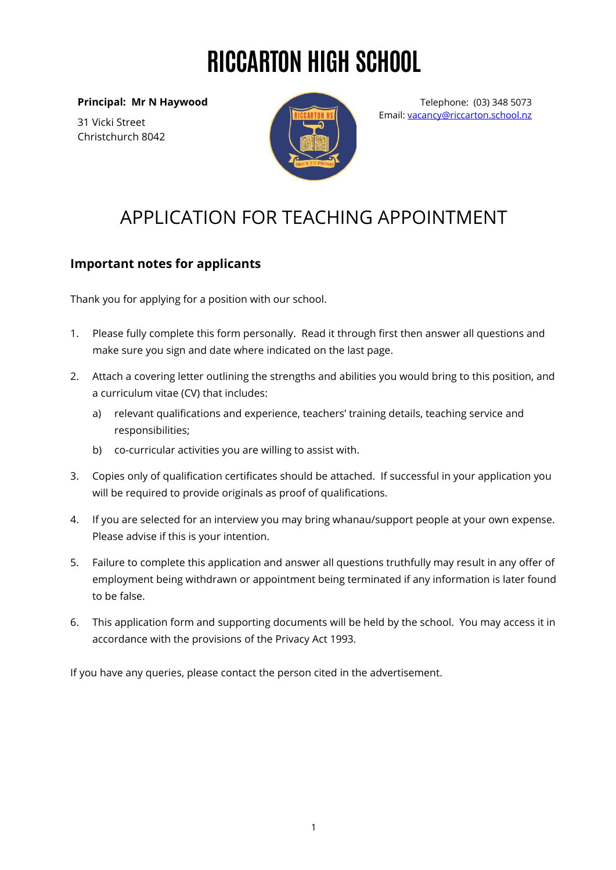# RICCARTON HIGH SCHOOL

**Principal: Mr N Haywood**

31 Vicki Street Christchurch 8042



Telephone: (03) 348 5073 Email: [vacancy@riccarton.school.nz](mailto:vacancy@riccarton.school.nz)

## APPLICATION FOR TEACHING APPOINTMENT

#### **Important notes for applicants**

Thank you for applying for a position with our school.

- 1. Please fully complete this form personally. Read it through first then answer all questions and make sure you sign and date where indicated on the last page.
- 2. Attach a covering letter outlining the strengths and abilities you would bring to this position, and a curriculum vitae (CV) that includes:
	- a) relevant qualifications and experience, teachers' training details, teaching service and responsibilities;
	- b) co-curricular activities you are willing to assist with.
- 3. Copies only of qualification certificates should be attached. If successful in your application you will be required to provide originals as proof of qualifications.
- 4. If you are selected for an interview you may bring whanau/support people at your own expense. Please advise if this is your intention.
- 5. Failure to complete this application and answer all questions truthfully may result in any offer of employment being withdrawn or appointment being terminated if any information is later found to be false.
- 6. This application form and supporting documents will be held by the school. You may access it in accordance with the provisions of the Privacy Act 1993.

If you have any queries, please contact the person cited in the advertisement.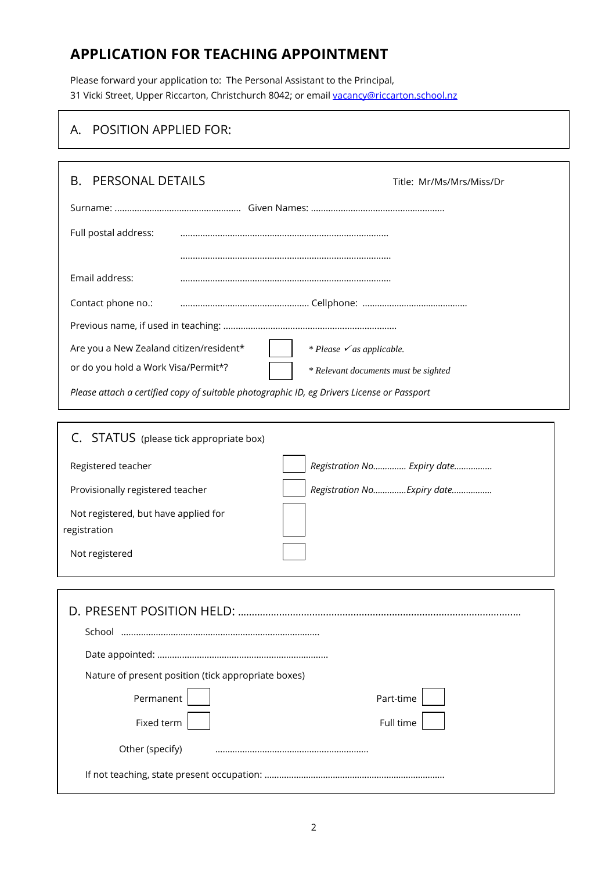### **APPLICATION FOR TEACHING APPOINTMENT**

Please forward your application to: The Personal Assistant to the Principal, 31 Vicki Street, Upper Riccarton, Christchurch 8042; or email [vacancy@riccarton.school.nz](mailto:vacancy@riccarton.school.nz)

#### A. POSITION APPLIED FOR:

| PERSONAL DETAILS<br>В.<br>Title: Mr/Ms/Mrs/Miss/Dr                                         |                                      |  |  |  |
|--------------------------------------------------------------------------------------------|--------------------------------------|--|--|--|
|                                                                                            |                                      |  |  |  |
| Full postal address:                                                                       |                                      |  |  |  |
| Email address:                                                                             |                                      |  |  |  |
| Contact phone no.:                                                                         |                                      |  |  |  |
|                                                                                            |                                      |  |  |  |
| Are you a New Zealand citizen/resident*                                                    | * Please $\checkmark$ as applicable. |  |  |  |
| or do you hold a Work Visa/Permit*?<br>* Relevant documents must be sighted                |                                      |  |  |  |
| Please attach a certified copy of suitable photographic ID, eg Drivers License or Passport |                                      |  |  |  |
|                                                                                            |                                      |  |  |  |
| C. STATUS (please tick appropriate box)                                                    |                                      |  |  |  |
| Registered teacher                                                                         | Registration No Expiry date          |  |  |  |
| Provisionally registered teacher                                                           | Registration NoExpiry date           |  |  |  |
| Not registered, but have applied for<br>registration                                       |                                      |  |  |  |
| Not registered                                                                             |                                      |  |  |  |
|                                                                                            |                                      |  |  |  |
|                                                                                            |                                      |  |  |  |
|                                                                                            |                                      |  |  |  |
|                                                                                            |                                      |  |  |  |
| Nature of present position (tick appropriate boxes)                                        |                                      |  |  |  |
| Permanent                                                                                  | Part-time                            |  |  |  |
| Fixed term                                                                                 | Full time                            |  |  |  |
| Other (specify)                                                                            |                                      |  |  |  |
|                                                                                            |                                      |  |  |  |